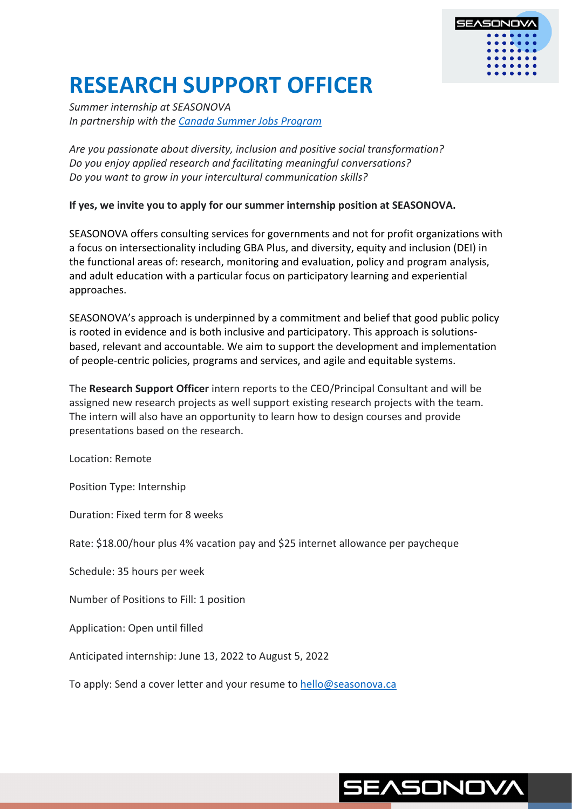

# **RESEARCH SUPPORT OFFICER**

*Summer internship at SEASONOVA In partnership with the Canada Summer Jobs Program*

*Are you passionate about diversity, inclusion and positive social transformation? Do you enjoy applied research and facilitating meaningful conversations? Do you want to grow in your intercultural communication skills?*

**If yes, we invite you to apply for our summer internship position at SEASONOVA.** 

SEASONOVA offers consulting services for governments and not for profit organizations with a focus on intersectionality including GBA Plus, and diversity, equity and inclusion (DEI) in the functional areas of: research, monitoring and evaluation, policy and program analysis, and adult education with a particular focus on participatory learning and experiential approaches.

SEASONOVA's approach is underpinned by a commitment and belief that good public policy is rooted in evidence and is both inclusive and participatory. This approach is solutionsbased, relevant and accountable. We aim to support the development and implementation of people-centric policies, programs and services, and agile and equitable systems.

The **Research Support Officer** intern reports to the CEO/Principal Consultant and will be assigned new research projects as well support existing research projects with the team. The intern will also have an opportunity to learn how to design courses and provide presentations based on the research.

Location: Remote

Position Type: Internship

Duration: Fixed term for 8 weeks

Rate: \$18.00/hour plus 4% vacation pay and \$25 internet allowance per paycheque

Schedule: 35 hours per week

Number of Positions to Fill: 1 position

Application: Open until filled

Anticipated internship: June 13, 2022 to August 5, 2022

To apply: Send a cover letter and your resume to hello@seasonova.ca

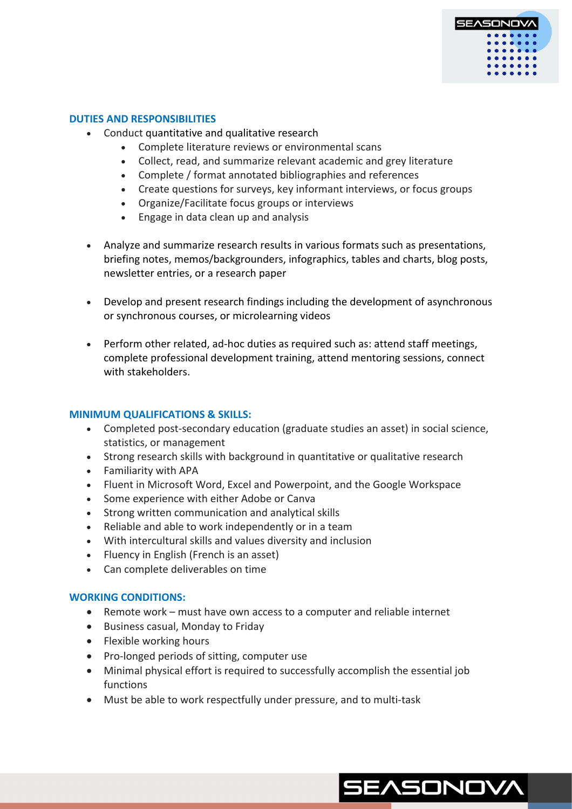

#### **DUTIES AND RESPONSIBILITIES**

- Conduct quantitative and qualitative research
	- Complete literature reviews or environmental scans
	- Collect, read, and summarize relevant academic and grey literature
	- Complete / format annotated bibliographies and references
	- Create questions for surveys, key informant interviews, or focus groups
	- Organize/Facilitate focus groups or interviews
	- Engage in data clean up and analysis
- Analyze and summarize research results in various formats such as presentations, briefing notes, memos/backgrounders, infographics, tables and charts, blog posts, newsletter entries, or a research paper
- Develop and present research findings including the development of asynchronous or synchronous courses, or microlearning videos
- Perform other related, ad-hoc duties as required such as: attend staff meetings, complete professional development training, attend mentoring sessions, connect with stakeholders.

## **MINIMUM QUALIFICATIONS & SKILLS:**

- Completed post-secondary education (graduate studies an asset) in social science, statistics, or management
- Strong research skills with background in quantitative or qualitative research
- Familiarity with APA
- Fluent in Microsoft Word, Excel and Powerpoint, and the Google Workspace
- Some experience with either Adobe or Canva
- Strong written communication and analytical skills
- Reliable and able to work independently or in a team
- With intercultural skills and values diversity and inclusion
- Fluency in English (French is an asset)
- Can complete deliverables on time

## **WORKING CONDITIONS:**

- Remote work must have own access to a computer and reliable internet
- Business casual, Monday to Friday
- Flexible working hours
- Pro-longed periods of sitting, computer use
- Minimal physical effort is required to successfully accomplish the essential job functions
- Must be able to work respectfully under pressure, and to multi-task